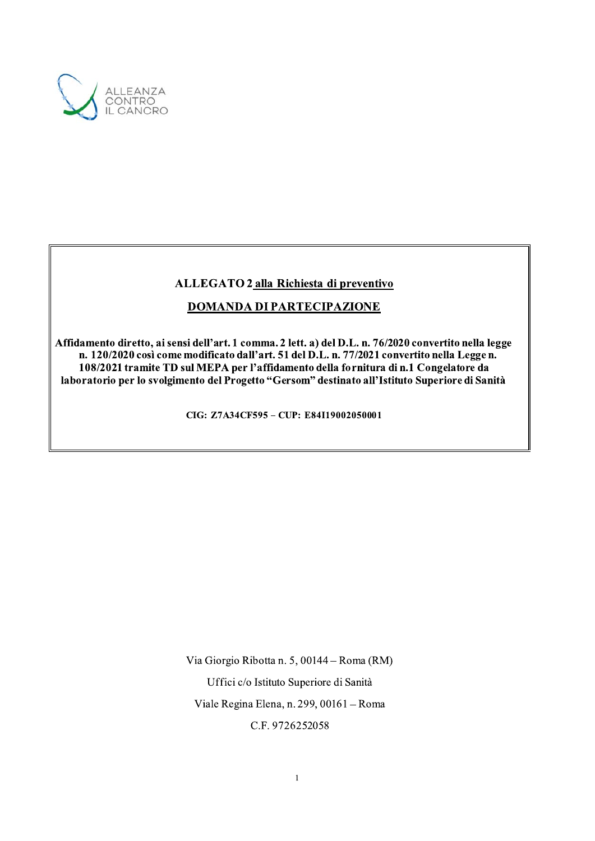

# ALLEGATO 2 alla Richiesta di preventivo

# **DOMANDA DI PARTECIPAZIONE**

Affidamento diretto, ai sensi dell'art. 1 comma. 2 lett. a) del D.L. n. 76/2020 convertito nella legge n. 120/2020 così come modificato dall'art. 51 del D.L. n. 77/2021 convertito nella Legge n. 108/2021 tramite TD sul MEPA per l'affidamento della fornitura di n.1 Congelatore da laboratorio per lo svolgimento del Progetto "Gersom" destinato all'Istituto Superiore di Sanità

CIG: Z7A34CF595 - CUP: E84I19002050001

Via Giorgio Ribotta n. 5, 00144 – Roma (RM)

Uffici c/o Istituto Superiore di Sanità

Viale Regina Elena, n. 299, 00161 - Roma

C.F. 9726252058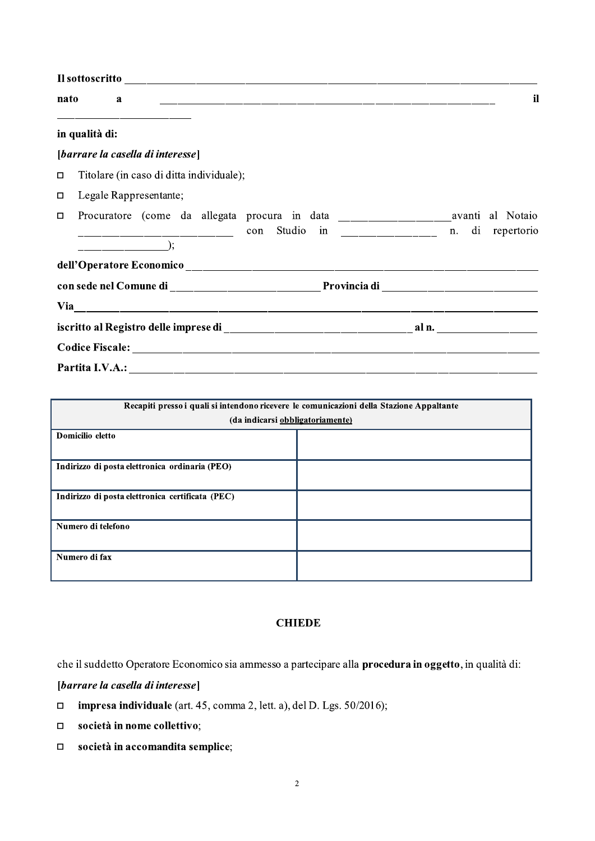|        | <b>nato</b>    | a |                                               |  |  |                                                                                                                                           |  |  | il |
|--------|----------------|---|-----------------------------------------------|--|--|-------------------------------------------------------------------------------------------------------------------------------------------|--|--|----|
|        | in qualità di: |   |                                               |  |  |                                                                                                                                           |  |  |    |
|        |                |   | [barrare la casella di interesse]             |  |  |                                                                                                                                           |  |  |    |
| $\Box$ |                |   | Titolare (in caso di ditta individuale);      |  |  |                                                                                                                                           |  |  |    |
| □      |                |   | Legale Rappresentante;                        |  |  |                                                                                                                                           |  |  |    |
| □      |                |   |                                               |  |  | Procuratore (come da allegata procura in data ___________________________avanti al Notaio<br>con Studio in _____________ n. di repertorio |  |  |    |
|        |                |   | $\qquad \qquad \overbrace{\qquad \qquad }^{}$ |  |  |                                                                                                                                           |  |  |    |
|        |                |   |                                               |  |  | dell'Operatore Economico et al. 2006 anno 2010 anno 2010 anno 2010 anno 2010 anno 2010 anno 2010 anno 2010 ann                            |  |  |    |
|        |                |   |                                               |  |  |                                                                                                                                           |  |  |    |
|        |                |   |                                               |  |  | Via $\overline{\phantom{a} \phantom{a}}$                                                                                                  |  |  |    |
|        |                |   |                                               |  |  |                                                                                                                                           |  |  |    |
|        |                |   |                                               |  |  |                                                                                                                                           |  |  |    |
|        |                |   |                                               |  |  |                                                                                                                                           |  |  |    |

|                                                  | Recapiti presso i quali si intendono ricevere le comunicazioni della Stazione Appaltante |  |  |  |  |  |  |
|--------------------------------------------------|------------------------------------------------------------------------------------------|--|--|--|--|--|--|
| (da indicarsi obbligatoriamente)                 |                                                                                          |  |  |  |  |  |  |
| Domicilio eletto                                 |                                                                                          |  |  |  |  |  |  |
|                                                  |                                                                                          |  |  |  |  |  |  |
| Indirizzo di posta elettronica ordinaria (PEO)   |                                                                                          |  |  |  |  |  |  |
|                                                  |                                                                                          |  |  |  |  |  |  |
| Indirizzo di posta elettronica certificata (PEC) |                                                                                          |  |  |  |  |  |  |
| Numero di telefono                               |                                                                                          |  |  |  |  |  |  |
| Numero di fax                                    |                                                                                          |  |  |  |  |  |  |

## **CHIEDE**

che il suddetto Operatore Economico sia ammesso a partecipare alla procedura in oggetto, in qualità di:

[barrare la casella di interesse]

- $\Box$ impresa individuale (art. 45, comma 2, lett. a), del D. Lgs. 50/2016);
- società in nome collettivo;  $\Box$
- società in accomandita semplice;  $\Box$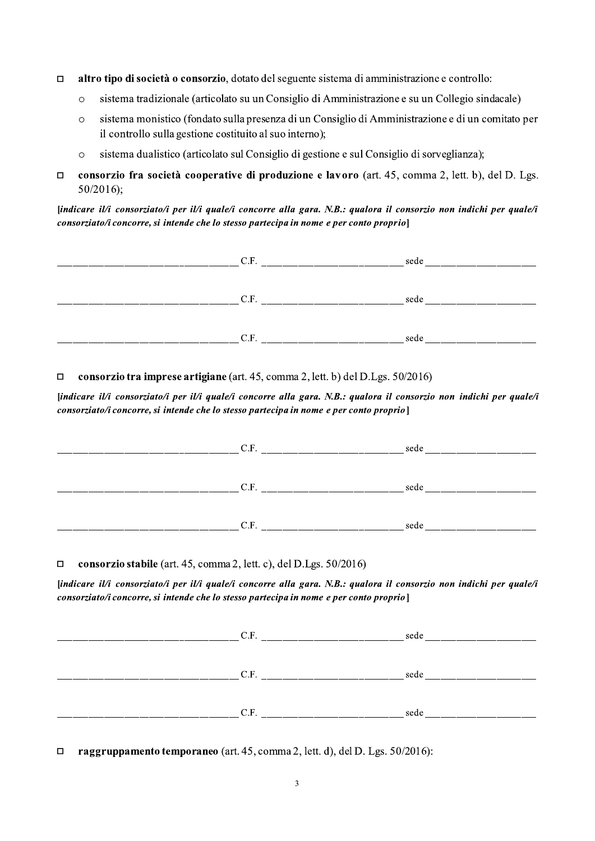- $\Box$  altro tipo di società o consorzio, dotato del seguente sistema di amministrazione e controllo:
	-
- **altro tipo di società o consorzio**, dotato del seguente sistema di amministrazione e controllo:<br>
o sistema tradizionale (articolato su un Consiglio di Amministrazione e su un Collegio sindacale)<br>
o sistema monistico (fon o sistema monistico (fondato sulla presenza di un Consiglio di Amministrazione e di un comitato per il controllo sulla gestione costituito al suo interno); **i** tipo di società o consorzio, dotato del seguente sistema di amministrazion<br>sistema tradizionale (articolato su un Consiglio di Amministrazione e su un<br>sistema monistico (fondato sulla presenza di un Consiglio di Ammini **altro tipo di società o consorzio**, dotato del seguente sistema di amministrazione e controllo:<br>
sistema tradizionale (articolato su un Consiglio di Amministrazione e su un Collegio sindacale)<br>
sistema monistico (fondato
	-
- $\Box$  consorzio tra società cooperative di pr

| □       | altro tipo di società o consorzio, dotato del seguente sistema di amministrazione e controllo:                                                                                                                  |                                                                                                   |  |  |  |  |
|---------|-----------------------------------------------------------------------------------------------------------------------------------------------------------------------------------------------------------------|---------------------------------------------------------------------------------------------------|--|--|--|--|
|         | sistema tradizionale (articolato su un Consiglio di Amministrazione e su un Collegio sindacale)<br>$\circ$                                                                                                      |                                                                                                   |  |  |  |  |
| $\circ$ | il controllo sulla gestione costituito al suo interno);                                                                                                                                                         | sistema monistico (fondato sulla presenza di un Consiglio di Amministrazione e di un comitato per |  |  |  |  |
| $\circ$ | sistema dualistico (articolato sul Consiglio di gestione e sul Consiglio di sorveglianza);                                                                                                                      |                                                                                                   |  |  |  |  |
| □       | consorzio fra società cooperative di produzione e lavoro (art. 45, comma 2, lett. b), del D. Lgs.<br>$50/2016$ ;                                                                                                |                                                                                                   |  |  |  |  |
|         | [indicare il/i consorziato/i per il/i quale/i concorre alla gara. N.B.: qualora il consorzio non indichi per quale/i<br>consorziato/i concorre, si intende che lo stesso partecipa in nome e per conto proprio] |                                                                                                   |  |  |  |  |
|         |                                                                                                                                                                                                                 |                                                                                                   |  |  |  |  |
|         |                                                                                                                                                                                                                 |                                                                                                   |  |  |  |  |
|         |                                                                                                                                                                                                                 |                                                                                                   |  |  |  |  |
|         |                                                                                                                                                                                                                 |                                                                                                   |  |  |  |  |
|         |                                                                                                                                                                                                                 |                                                                                                   |  |  |  |  |
|         |                                                                                                                                                                                                                 |                                                                                                   |  |  |  |  |
| $\Box$  | consorzio tra imprese artigiane (art. 45, comma 2, lett. b) del D.Lgs. 50/2016)                                                                                                                                 |                                                                                                   |  |  |  |  |
|         |                                                                                                                                                                                                                 |                                                                                                   |  |  |  |  |
|         | [indicare il/i consorziato/i per il/i quale/i concorre alla gara. N.B.: qualora il consorzio non indichi per quale/i<br>consorziato/i concorre, si intende che lo stesso partecipa in nome e per conto proprio] |                                                                                                   |  |  |  |  |
|         |                                                                                                                                                                                                                 |                                                                                                   |  |  |  |  |
|         |                                                                                                                                                                                                                 |                                                                                                   |  |  |  |  |
|         |                                                                                                                                                                                                                 |                                                                                                   |  |  |  |  |

### consorzio tra imprese artigiane (art. 45, comma 2, lett. b) del D.Lgs.  $50/2016$

| consorzio stabile (art. 45, comma 2, lett. c), del D.Lgs. $50/2016$ )<br>$\Box$<br>consorziato/i concorre, si intende che lo stesso partecipa in nome e per conto proprio |      | [indicare il/i consorziato/i per il/i quale/i concorre alla gara. N.B.: qualora il consorzio non indichi per quale/i |
|---------------------------------------------------------------------------------------------------------------------------------------------------------------------------|------|----------------------------------------------------------------------------------------------------------------------|
|                                                                                                                                                                           |      |                                                                                                                      |
|                                                                                                                                                                           | C.F. | sede                                                                                                                 |

|        | C.F.                                                                         | sede and the set of the set of the set of the set of the set of the set of the set of the set of the set of the |  |
|--------|------------------------------------------------------------------------------|-----------------------------------------------------------------------------------------------------------------|--|
|        |                                                                              |                                                                                                                 |  |
|        |                                                                              |                                                                                                                 |  |
| $\Box$ | raggruppamento temporaneo (art. 45, comma 2, lett. d), del D. Lgs. 50/2016): |                                                                                                                 |  |
|        | 3                                                                            |                                                                                                                 |  |
|        |                                                                              |                                                                                                                 |  |
|        |                                                                              |                                                                                                                 |  |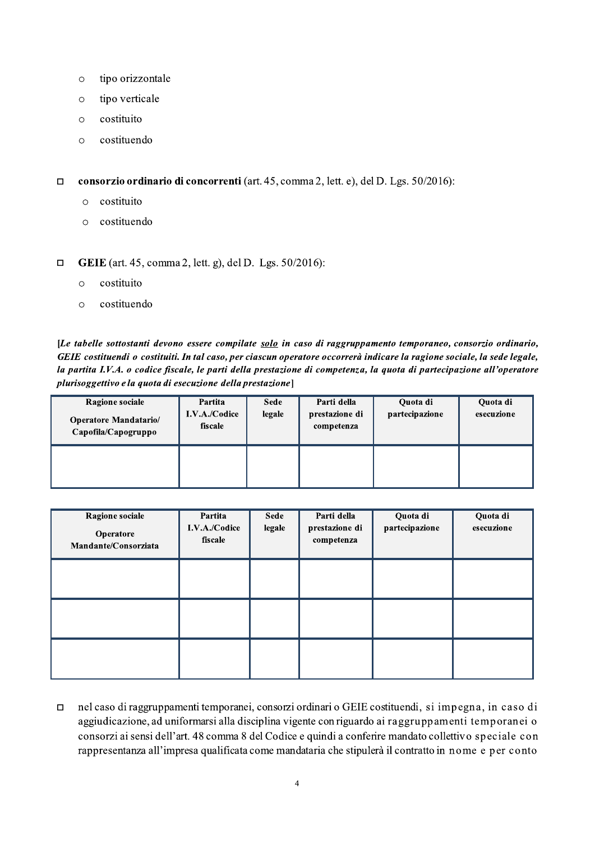- o tipo orizzontale
- o tipo verticale
- o costituito
- $\circ$  costituendo

consorzio ordinario di concorrenti (art. 45, comma 2, lett. e), del D. Lgs.  $50/2016$ : 5, comma 2, lett. e), del D. Lgs. 50/2016):<br>
gs. 50/2016):<br>
gs. 50/2016):

- o costituito
- $\circ$  costituendo
- **GEIE** (art. 45, comma 2, lett. g), del D. Lgs.  $50/2016$ :
	- $\circ$  costituito
	- $\circ$  costituendo

rdinario di concorrenti (art. 45, comma 2, lett. e), de<br>to<br>ndo<br>5, comma 2, lett. g), del D. Lgs. 50/2016):<br>to<br>ndo<br>nnti devono essere compilate <u>solo</u> in caso di raggruppa<br>o costituiti. In tal caso, per ciascun operatore oc [Le tabelle sottostanti devono essere compilate solo in caso di raggruppamento temporaneo, consorzio ordinario, GEIE costituendi o costituiti. In tal caso, per ciascun operatore occorrerà indicare la ragione sociale, la sede legale, la partita I.V.A. o codice fiscale, le parti della prestazione di competenza, la quota di partecipazione all'operatore plurisoggettivo e la quota di esecuzione della prestazione]

| <b>Ragione sociale</b><br><b>Operatore Mandatario/</b><br>Capofila/Capogruppo | Partita<br>I.V.A./Codice<br>fiscale | <b>Sede</b><br>legale | Parti della<br>prestazione di<br>competenza | Quota di<br>partecipazione | Quota di<br>esecuzione |
|-------------------------------------------------------------------------------|-------------------------------------|-----------------------|---------------------------------------------|----------------------------|------------------------|
|                                                                               |                                     |                       |                                             |                            |                        |

| Ragione sociale<br>Operatore<br>Mandante/Consorziata | Partita<br>I.V.A./Codice<br>fiscale | Sede<br>legale | Parti della<br>prestazione di<br>competenza | Quota di<br>partecipazione | Quota di<br>esecuzione |
|------------------------------------------------------|-------------------------------------|----------------|---------------------------------------------|----------------------------|------------------------|
|                                                      |                                     |                |                                             |                            |                        |
|                                                      |                                     |                |                                             |                            |                        |
|                                                      |                                     |                |                                             |                            |                        |

 $\Box$  nel caso di raggruppamenti temporanei, consorzi ordinari o GEIE costituendi, si impegna, in caso di aggiudicazione, ad uniformarsi alla disciplina vigente con riguardo ai raggruppamenti temporan'ei o consorzi ai sensi dell'art. 48 comma 8 del Codice e quindi a conferire mandato collettivo speciale con rappresentanza all'impresa qualificata come mandataria che stipulerà il contratto in nome e per conto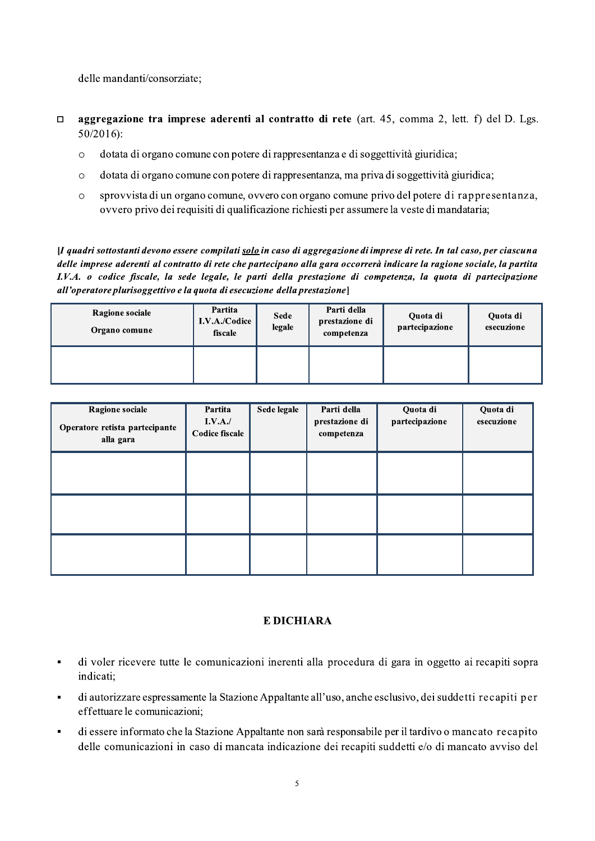delle mandanti/consorziate;

- aggregazione tra imprese aderenti al contratto di rete (art. 45, comma 2, lett. f) del D. Lgs.  $\Box$  $50/2016$ :
	- dotata di organo comune con potere di rappresentanza e di soggettività giuridica;  $\circ$
	- dotata di organo comune con potere di rappresentanza, ma priva di soggettività giuridica;  $\circ$
	- sprovvista di un organo comune, ovvero con organo comune privo del potere di rappresentanza,  $\circ$ ovvero privo dei requisiti di qualificazione richiesti per assumere la veste di mandataria;

[I quadri sottostanti devono essere compilati solo in caso di aggregazione di imprese di rete. In tal caso, per ciascuna delle imprese aderenti al contratto di rete che partecipano alla gara occorrerà indicare la ragione sociale, la partita I.V.A. o codice fiscale, la sede legale, le parti della prestazione di competenza, la quota di partecipazione all'operatore plurisoggettivo e la quota di esecuzione della prestazione]

| <b>Ragione sociale</b><br>Organo comune | Partita<br>I.V.A./Codice<br>fiscale | Sede<br>legale | Parti della<br>prestazione di<br>competenza | Quota di<br>partecipazione | Quota di<br>esecuzione |
|-----------------------------------------|-------------------------------------|----------------|---------------------------------------------|----------------------------|------------------------|
|                                         |                                     |                |                                             |                            |                        |

| Ragione sociale<br>Operatore retista partecipante<br>alla gara | Partita<br>I.V.A./<br><b>Codice fiscale</b> | Sede legale | Parti della<br>prestazione di<br>competenza | Quota di<br>partecipazione | Quota di<br>esecuzione |
|----------------------------------------------------------------|---------------------------------------------|-------------|---------------------------------------------|----------------------------|------------------------|
|                                                                |                                             |             |                                             |                            |                        |
|                                                                |                                             |             |                                             |                            |                        |
|                                                                |                                             |             |                                             |                            |                        |

## **E DICHIARA**

- di voler ricevere tutte le comunicazioni inerenti alla procedura di gara in oggetto ai recapiti sopra j, indicati:
- di autorizzare espressamente la Stazione Appaltante all'uso, anche esclusivo, dei suddetti recapiti per  $\blacksquare$ effettuare le comunicazioni;
- di essere informato che la Stazione Appaltante non sarà responsabile per il tardivo o mancato recapito  $\blacksquare$ delle comunicazioni in caso di mancata indicazione dei recapiti suddetti e/o di mancato avviso del